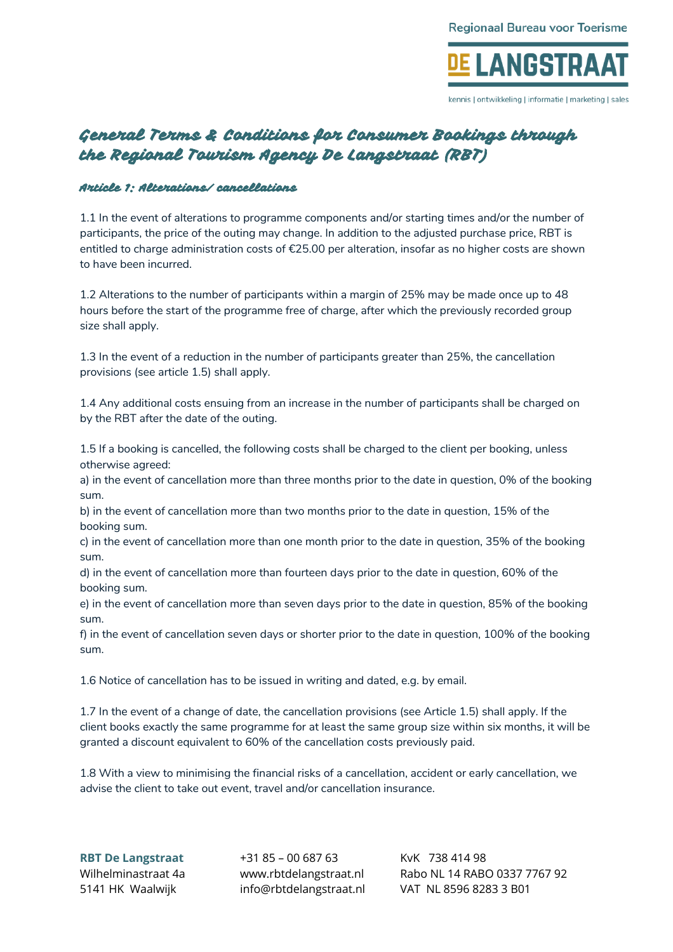

kennis I ontwikkeling I informatie I marketing I sales

# General Terms & Conditions for Consumer Bookings through the Regional Tourism Agency De Langstraat (RBT)

### Article 1: Alterations/ cancellations

1.1 In the event of alterations to programme components and/or starting times and/or the number of participants, the price of the outing may change. In addition to the adjusted purchase price, RBT is entitled to charge administration costs of €25.00 per alteration, insofar as no higher costs are shown to have been incurred.

1.2 Alterations to the number of participants within a margin of 25% may be made once up to 48 hours before the start of the programme free of charge, after which the previously recorded group size shall apply.

1.3 In the event of a reduction in the number of participants greater than 25%, the cancellation provisions (see article 1.5) shall apply.

1.4 Any additional costs ensuing from an increase in the number of participants shall be charged on by the RBT after the date of the outing.

1.5 If a booking is cancelled, the following costs shall be charged to the client per booking, unless otherwise agreed:

a) in the event of cancellation more than three months prior to the date in question, 0% of the booking sum.

b) in the event of cancellation more than two months prior to the date in question, 15% of the booking sum.

c) in the event of cancellation more than one month prior to the date in question, 35% of the booking sum.

d) in the event of cancellation more than fourteen days prior to the date in question, 60% of the booking sum.

e) in the event of cancellation more than seven days prior to the date in question, 85% of the booking sum.

f) in the event of cancellation seven days or shorter prior to the date in question, 100% of the booking sum.

1.6 Notice of cancellation has to be issued in writing and dated, e.g. by email.

1.7 In the event of a change of date, the cancellation provisions (see Article 1.5) shall apply. If the client books exactly the same programme for at least the same group size within six months, it will be granted a discount equivalent to 60% of the cancellation costs previously paid.

1.8 With a view to minimising the financial risks of a cancellation, accident or early cancellation, we advise the client to take out event, travel and/or cancellation insurance.

**RBT De Langstraat** +31 85 – 00 687 63 KvK 738 414 98

Wilhelminastraat 4a www.rbtdelangstraat.nl Rabo NL 14 RABO 0337 7767 92 5141 HK Waalwijk info@rbtdelangstraat.nl VAT NL 8596 8283 3 B01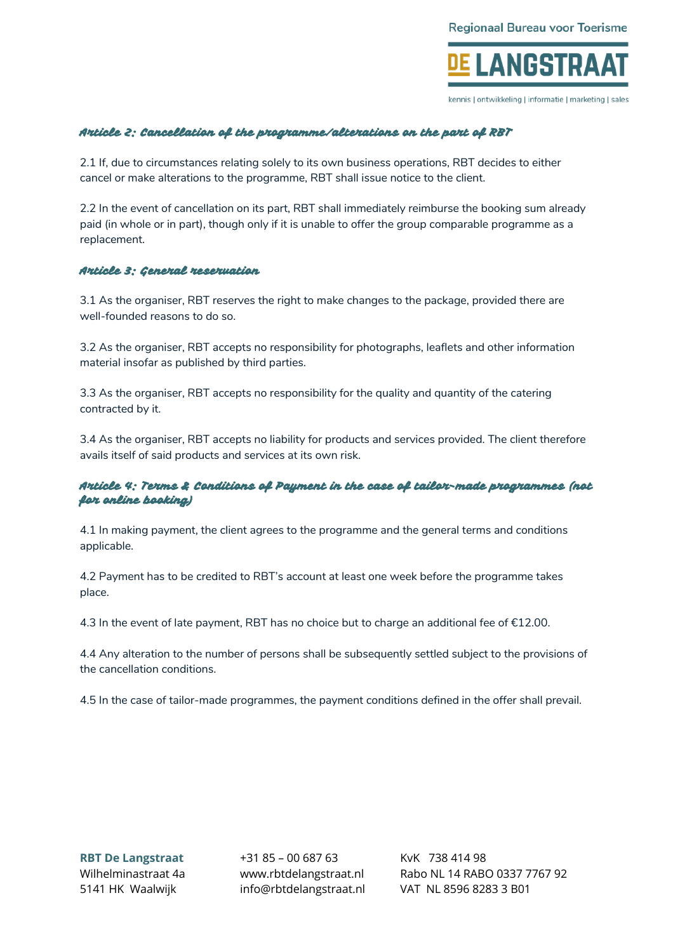

kennis I ontwikkeling I informatie I marketing I sales

## Article 2: Cancellation of the programme/alterations on the part of RBT

2.1 If, due to circumstances relating solely to its own business operations, RBT decides to either cancel or make alterations to the programme, RBT shall issue notice to the client.

2.2 In the event of cancellation on its part, RBT shall immediately reimburse the booking sum already paid (in whole or in part), though only if it is unable to offer the group comparable programme as a replacement.

#### Article 3: General reservation

3.1 As the organiser, RBT reserves the right to make changes to the package, provided there are well-founded reasons to do so.

3.2 As the organiser, RBT accepts no responsibility for photographs, leaflets and other information material insofar as published by third parties.

3.3 As the organiser, RBT accepts no responsibility for the quality and quantity of the catering contracted by it.

3.4 As the organiser, RBT accepts no liability for products and services provided. The client therefore avails itself of said products and services at its own risk.

## Article 4: Terms & Conditions of Payment in the case of tailor-made programmes (not for online booking)

4.1 In making payment, the client agrees to the programme and the general terms and conditions applicable.

4.2 Payment has to be credited to RBT's account at least one week before the programme takes place.

4.3 In the event of late payment, RBT has no choice but to charge an additional fee of €12.00.

4.4 Any alteration to the number of persons shall be subsequently settled subject to the provisions of the cancellation conditions.

4.5 In the case of tailor-made programmes, the payment conditions defined in the offer shall prevail.

**RBT De Langstraat** +31 85 – 00 687 63 KvK 738 414 98 5141 HK Waalwijk info@rbtdelangstraat.nl VAT NL 8596 8283 3 B01

Wilhelminastraat 4a www.rbtdelangstraat.nl Rabo NL 14 RABO 0337 7767 92